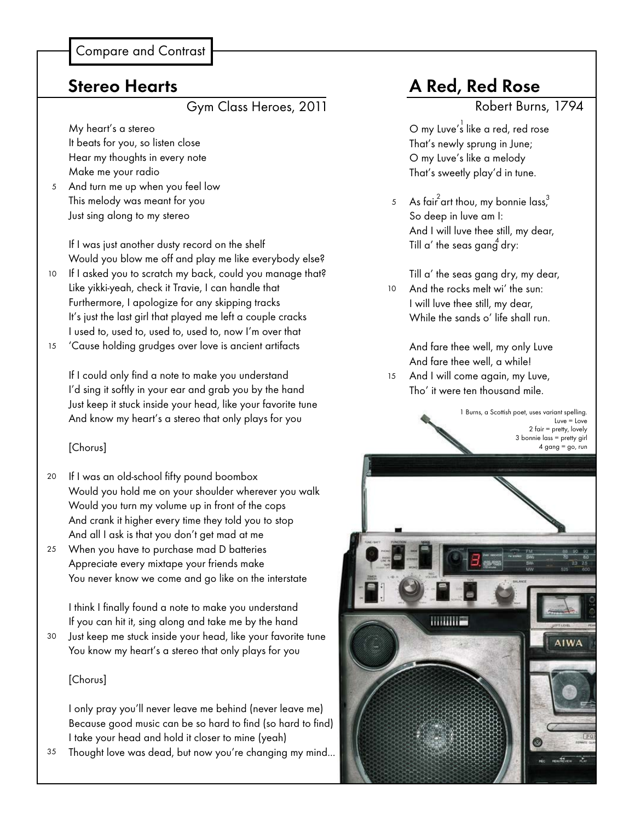Compare and Contrast

## **Stereo Hearts**

Gym Class Heroes, 2011

My heart's a stereo It beats for you, so listen close Hear my thoughts in every note Make me your radio

And turn me up when you feel low 5 This melody was meant for you Just sing along to my stereo

If I was just another dusty record on the shelf Would you blow me off and play me like everybody else? If I asked you to scratch my back, could you manage that? Like yikki-yeah, check it Travie, I can handle that Furthermore, I apologize for any skipping tracks It's just the last girl that played me left a couple cracks I used to, used to, used to, used to, now I'm over that 10

'Cause holding grudges over love is ancient artifacts 15

If I could only find a note to make you understand I'd sing it softly in your ear and grab you by the hand Just keep it stuck inside your head, like your favorite tune And know my heart's a stereo that only plays for you

#### [Chorus]

- If I was an old-school fifty pound boombox Would you hold me on your shoulder wherever you walk Would you turn my volume up in front of the cops And crank it higher every time they told you to stop And all I ask is that you don't get mad at me 20
- When you have to purchase mad D batteries 25 Appreciate every mixtape your friends make You never know we come and go like on the interstate

I think I finally found a note to make you understand If you can hit it, sing along and take me by the hand

Just keep me stuck inside your head, like your favorite tune You know my heart's a stereo that only plays for you 30

#### [Chorus]

I only pray you'll never leave me behind (never leave me) Because good music can be so hard to find (so hard to find) I take your head and hold it closer to mine (yeah)

Thought love was dead, but now you're changing my mind... 35

# **A Red, Red Rose**

# Robert Burns, 1794

O my Luve's like a red, red rose That's newly sprung in June; O my Luve's like a melody That's sweetly play'd in tune.

- 5 As fair<sup>2</sup> art thou, my bonnie lass,<sup>3</sup> So deep in luve am I: And I will luve thee still, my dear, Till a' the seas gang $\stackrel{4}{\text{d}}$ ry:
	- Till a' the seas gang dry, my dear,
- And the rocks melt wi' the sun: I will luve thee still, my dear, While the sands o' life shall run. 10

And fare thee well, my only Luve And fare thee well, a while!

15 And I will come again, my Luve, Tho' it were ten thousand mile.

> 1 Burns, a Scottish poet, uses variant spelling.  $Luv = Lv$ 2 fair = pretty, lovely 3 bonnie lass = pretty girl  $4$  gang = go, run